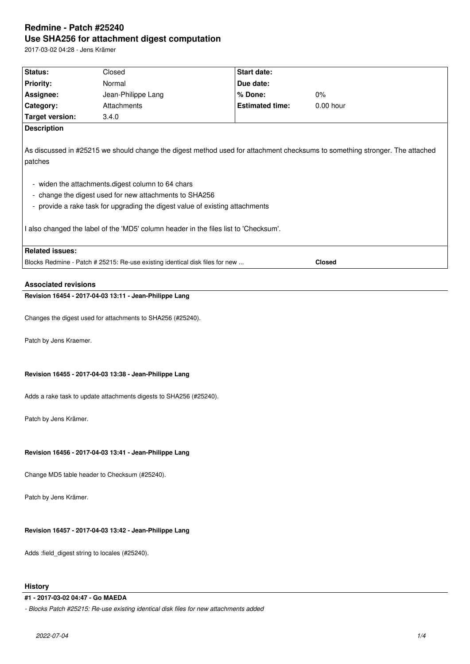# **Redmine - Patch #25240 Use SHA256 for attachment digest computation**

2017-03-02 04:28 - Jens Krämer

| Status:                                                                                                                                | Closed                                                                       | Start date:            |               |  |  |
|----------------------------------------------------------------------------------------------------------------------------------------|------------------------------------------------------------------------------|------------------------|---------------|--|--|
| <b>Priority:</b>                                                                                                                       | Normal                                                                       | Due date:              |               |  |  |
| Assignee:                                                                                                                              | Jean-Philippe Lang                                                           | % Done:                | $0\%$         |  |  |
| Category:                                                                                                                              | Attachments                                                                  | <b>Estimated time:</b> | 0.00 hour     |  |  |
| <b>Target version:</b>                                                                                                                 | 3.4.0                                                                        |                        |               |  |  |
| <b>Description</b>                                                                                                                     |                                                                              |                        |               |  |  |
| As discussed in #25215 we should change the digest method used for attachment checksums to something stronger. The attached<br>patches |                                                                              |                        |               |  |  |
| - widen the attachments.digest column to 64 chars                                                                                      |                                                                              |                        |               |  |  |
|                                                                                                                                        | - change the digest used for new attachments to SHA256                       |                        |               |  |  |
| - provide a rake task for upgrading the digest value of existing attachments                                                           |                                                                              |                        |               |  |  |
|                                                                                                                                        |                                                                              |                        |               |  |  |
| I also changed the label of the 'MD5' column header in the files list to 'Checksum'.                                                   |                                                                              |                        |               |  |  |
| <b>Related issues:</b>                                                                                                                 |                                                                              |                        |               |  |  |
|                                                                                                                                        | Blocks Redmine - Patch # 25215: Re-use existing identical disk files for new |                        | <b>Closed</b> |  |  |
| <b>Associated revisions</b>                                                                                                            |                                                                              |                        |               |  |  |
|                                                                                                                                        | Revision 16454 - 2017-04-03 13:11 - Jean-Philippe Lang                       |                        |               |  |  |
| Changes the digest used for attachments to SHA256 (#25240).                                                                            |                                                                              |                        |               |  |  |
| Patch by Jens Kraemer.                                                                                                                 |                                                                              |                        |               |  |  |
| Revision 16455 - 2017-04-03 13:38 - Jean-Philippe Lang                                                                                 |                                                                              |                        |               |  |  |
| Adds a rake task to update attachments digests to SHA256 (#25240).                                                                     |                                                                              |                        |               |  |  |
|                                                                                                                                        |                                                                              |                        |               |  |  |
| Patch by Jens Krämer.                                                                                                                  |                                                                              |                        |               |  |  |
|                                                                                                                                        |                                                                              |                        |               |  |  |
| Revision 16456 - 2017-04-03 13:41 - Jean-Philippe Lang                                                                                 |                                                                              |                        |               |  |  |
| Change MD5 table header to Checksum (#25240).                                                                                          |                                                                              |                        |               |  |  |
| Patch by Jens Krämer.                                                                                                                  |                                                                              |                        |               |  |  |
|                                                                                                                                        |                                                                              |                        |               |  |  |
| Revision 16457 - 2017-04-03 13:42 - Jean-Philippe Lang                                                                                 |                                                                              |                        |               |  |  |
| Adds :field_digest string to locales (#25240).                                                                                         |                                                                              |                        |               |  |  |

# **History**

## **#1 - 2017-03-02 04:47 - Go MAEDA**

*- Blocks Patch #25215: Re-use existing identical disk files for new attachments added*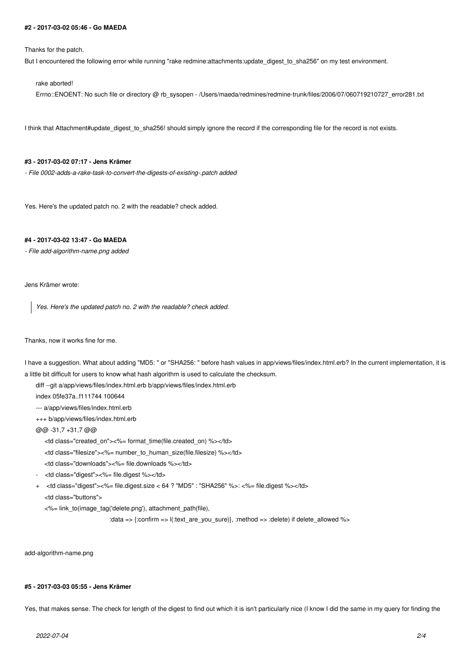#### **#2 - 2017-03-02 05:46 - Go MAEDA**

Thanks for the patch.

But I encountered the following error while running "rake redmine:attachments:update\_digest\_to\_sha256" on my test environment.

rake aborted!

Errno::ENOENT: No such file or directory @ rb\_sysopen - /Users/maeda/redmines/redmine-trunk/files/2006/07/060719210727\_error281.txt

I think that Attachment#update digest to sha256! should simply ignore the record if the corresponding file for the record is not exists.

#### **#3 - 2017-03-02 07:17 - Jens Krämer**

*- File 0002-adds-a-rake-task-to-convert-the-digests-of-existing-.patch added*

Yes. Here's the updated patch no. 2 with the readable? check added.

### **#4 - 2017-03-02 13:47 - Go MAEDA**

*- File add-algorithm-name.png added*

Jens Krämer wrote:

*Yes. Here's the updated patch no. 2 with the readable? check added.*

### Thanks, now it works fine for me.

I have a suggestion. What about adding "MD5: " or "SHA256: " before hash values in app/views/files/index.html.erb? In the current implementation, it is a little bit difficult for users to know what hash algorithm is used to calculate the checksum.

diff --git a/app/views/files/index.html.erb b/app/views/files/index.html.erb

index 05fe37a..f111744 100644

--- a/app/views/files/index.html.erb

+++ b/app/views/files/index.html.erb

@@ -31,7 +31,7 @@

<td class="created\_on"><%= format\_time(file.created\_on) %></td>

<td class="filesize"><%= number\_to\_human\_size(file.filesize) %></td>

<td class="downloads"><%= file.downloads %></td>

- <td class="digest"><%= file.digest %></td>
- + <td class="digest"><%= file.digest.size < 64 ? "MD5" : "SHA256" %>: <%= file.digest %></td>

<td class="buttons">

<%= link\_to(image\_tag('delete.png'), attachment\_path(file),

:data => {:confirm => l(:text\_are\_you\_sure)}, :method => :delete) if delete\_allowed %>

add-algorithm-name.png

#### **#5 - 2017-03-03 05:55 - Jens Krämer**

Yes, that makes sense. The check for length of the digest to find out which it is isn't particularly nice (I know I did the same in my query for finding the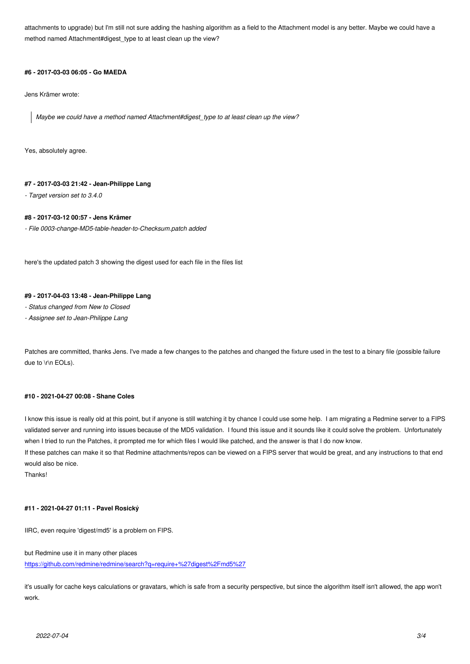method named Attachment#digest\_type to at least clean up the view?

# **#6 - 2017-03-03 06:05 - Go MAEDA**

Jens Krämer wrote:

*Maybe we could have a method named Attachment#digest\_type to at least clean up the view?*

Yes, absolutely agree.

### **#7 - 2017-03-03 21:42 - Jean-Philippe Lang**

*- Target version set to 3.4.0*

# **#8 - 2017-03-12 00:57 - Jens Krämer**

*- File 0003-change-MD5-table-header-to-Checksum.patch added*

here's the updated patch 3 showing the digest used for each file in the files list

# **#9 - 2017-04-03 13:48 - Jean-Philippe Lang**

*- Status changed from New to Closed*

*- Assignee set to Jean-Philippe Lang*

Patches are committed, thanks Jens. I've made a few changes to the patches and changed the fixture used in the test to a binary file (possible failure due to \r\n EOLs).

### **#10 - 2021-04-27 00:08 - Shane Coles**

I know this issue is really old at this point, but if anyone is still watching it by chance I could use some help. I am migrating a Redmine server to a FIPS validated server and running into issues because of the MD5 validation. I found this issue and it sounds like it could solve the problem. Unfortunately when I tried to run the Patches, it prompted me for which files I would like patched, and the answer is that I do now know.

If these patches can make it so that Redmine attachments/repos can be viewed on a FIPS server that would be great, and any instructions to that end would also be nice.

Thanks!

# **#11 - 2021-04-27 01:11 - Pavel Rosický**

IIRC, even require 'digest/md5' is a problem on FIPS.

but Redmine use it in many other places

https://github.com/redmine/redmine/search?q=require+%27digest%2Fmd5%27

it's usually for cache keys calculations or gravatars, which is safe from a security perspective, but since the algorithm itself isn't allowed, the app won't [work.](https://github.com/redmine/redmine/search?q=require+%27digest%2Fmd5%27)